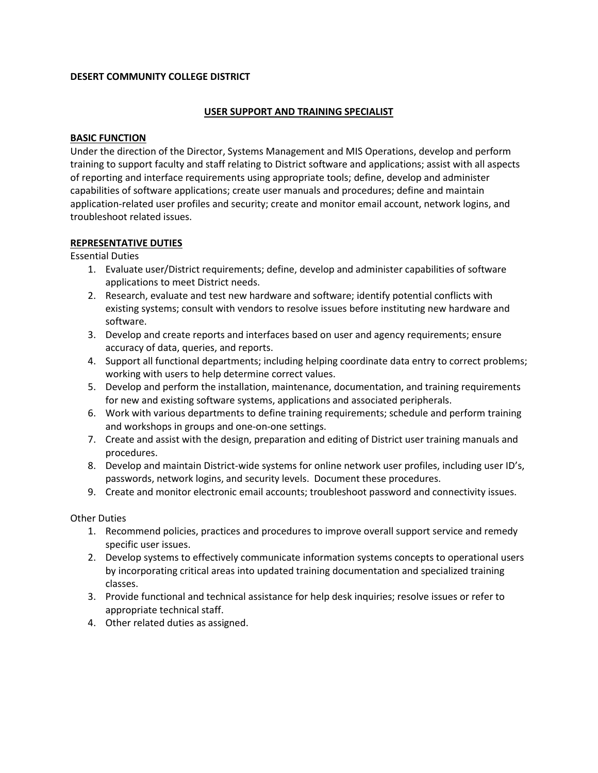## **DESERT COMMUNITY COLLEGE DISTRICT**

### **USER SUPPORT AND TRAINING SPECIALIST**

### **BASIC FUNCTION**

Under the direction of the Director, Systems Management and MIS Operations, develop and perform training to support faculty and staff relating to District software and applications; assist with all aspects of reporting and interface requirements using appropriate tools; define, develop and administer capabilities of software applications; create user manuals and procedures; define and maintain application-related user profiles and security; create and monitor email account, network logins, and troubleshoot related issues.

### **REPRESENTATIVE DUTIES**

Essential Duties

- 1. Evaluate user/District requirements; define, develop and administer capabilities of software applications to meet District needs.
- 2. Research, evaluate and test new hardware and software; identify potential conflicts with existing systems; consult with vendors to resolve issues before instituting new hardware and software.
- 3. Develop and create reports and interfaces based on user and agency requirements; ensure accuracy of data, queries, and reports.
- 4. Support all functional departments; including helping coordinate data entry to correct problems; working with users to help determine correct values.
- 5. Develop and perform the installation, maintenance, documentation, and training requirements for new and existing software systems, applications and associated peripherals.
- 6. Work with various departments to define training requirements; schedule and perform training and workshops in groups and one-on-one settings.
- 7. Create and assist with the design, preparation and editing of District user training manuals and procedures.
- 8. Develop and maintain District-wide systems for online network user profiles, including user ID's, passwords, network logins, and security levels. Document these procedures.
- 9. Create and monitor electronic email accounts; troubleshoot password and connectivity issues.

Other Duties

- 1. Recommend policies, practices and procedures to improve overall support service and remedy specific user issues.
- 2. Develop systems to effectively communicate information systems concepts to operational users by incorporating critical areas into updated training documentation and specialized training classes.
- 3. Provide functional and technical assistance for help desk inquiries; resolve issues or refer to appropriate technical staff.
- 4. Other related duties as assigned.